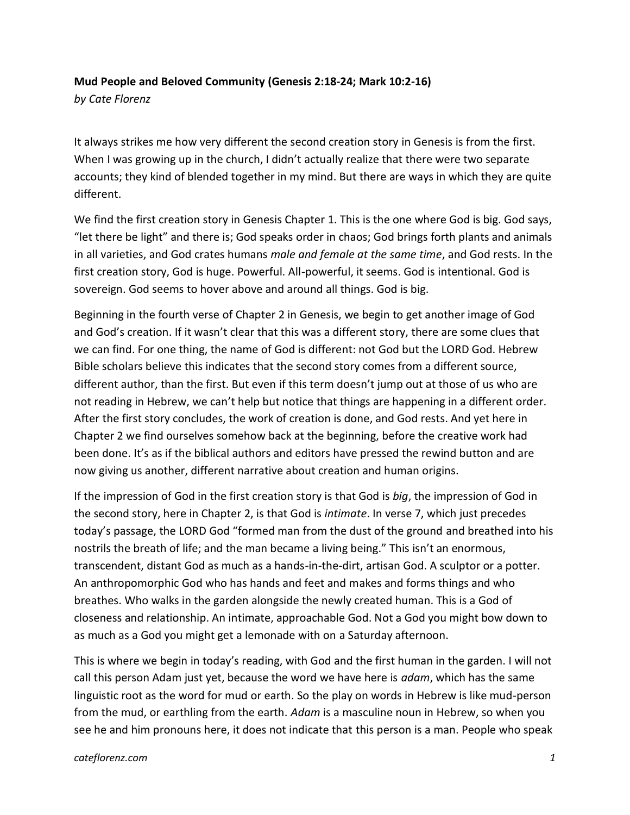## **Mud People and Beloved Community (Genesis 2:18-24; Mark 10:2-16)**

*by Cate Florenz*

It always strikes me how very different the second creation story in Genesis is from the first. When I was growing up in the church, I didn't actually realize that there were two separate accounts; they kind of blended together in my mind. But there are ways in which they are quite different.

We find the first creation story in Genesis Chapter 1. This is the one where God is big. God says, "let there be light" and there is; God speaks order in chaos; God brings forth plants and animals in all varieties, and God crates humans *male and female at the same time*, and God rests. In the first creation story, God is huge. Powerful. All-powerful, it seems. God is intentional. God is sovereign. God seems to hover above and around all things. God is big.

Beginning in the fourth verse of Chapter 2 in Genesis, we begin to get another image of God and God's creation. If it wasn't clear that this was a different story, there are some clues that we can find. For one thing, the name of God is different: not God but the LORD God. Hebrew Bible scholars believe this indicates that the second story comes from a different source, different author, than the first. But even if this term doesn't jump out at those of us who are not reading in Hebrew, we can't help but notice that things are happening in a different order. After the first story concludes, the work of creation is done, and God rests. And yet here in Chapter 2 we find ourselves somehow back at the beginning, before the creative work had been done. It's as if the biblical authors and editors have pressed the rewind button and are now giving us another, different narrative about creation and human origins.

If the impression of God in the first creation story is that God is *big*, the impression of God in the second story, here in Chapter 2, is that God is *intimate*. In verse 7, which just precedes today's passage, the LORD God "formed man from the dust of the ground and breathed into his nostrils the breath of life; and the man became a living being." This isn't an enormous, transcendent, distant God as much as a hands-in-the-dirt, artisan God. A sculptor or a potter. An anthropomorphic God who has hands and feet and makes and forms things and who breathes. Who walks in the garden alongside the newly created human. This is a God of closeness and relationship. An intimate, approachable God. Not a God you might bow down to as much as a God you might get a lemonade with on a Saturday afternoon.

This is where we begin in today's reading, with God and the first human in the garden. I will not call this person Adam just yet, because the word we have here is *adam*, which has the same linguistic root as the word for mud or earth. So the play on words in Hebrew is like mud-person from the mud, or earthling from the earth. *Adam* is a masculine noun in Hebrew, so when you see he and him pronouns here, it does not indicate that this person is a man. People who speak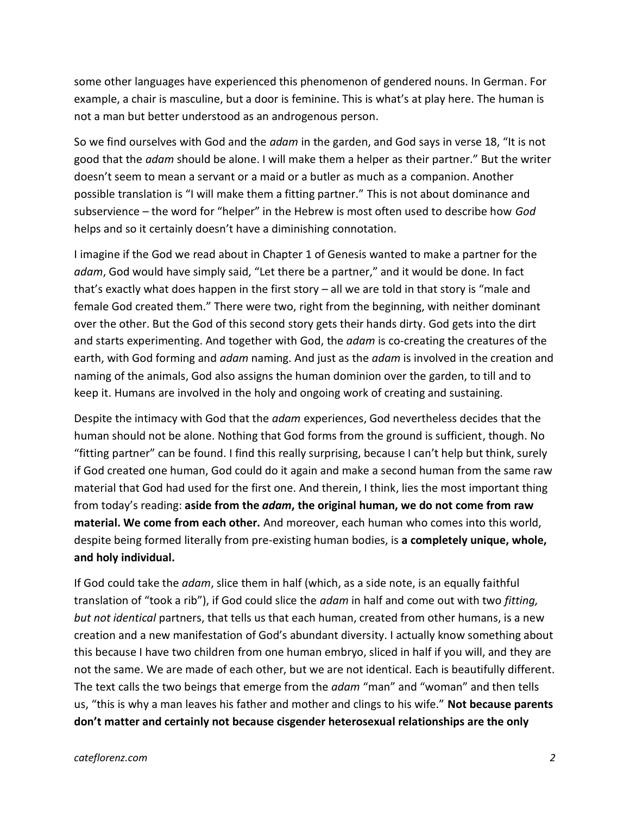some other languages have experienced this phenomenon of gendered nouns. In German. For example, a chair is masculine, but a door is feminine. This is what's at play here. The human is not a man but better understood as an androgenous person.

So we find ourselves with God and the *adam* in the garden, and God says in verse 18, "It is not good that the *adam* should be alone. I will make them a helper as their partner." But the writer doesn't seem to mean a servant or a maid or a butler as much as a companion. Another possible translation is "I will make them a fitting partner." This is not about dominance and subservience – the word for "helper" in the Hebrew is most often used to describe how *God* helps and so it certainly doesn't have a diminishing connotation.

I imagine if the God we read about in Chapter 1 of Genesis wanted to make a partner for the *adam*, God would have simply said, "Let there be a partner," and it would be done. In fact that's exactly what does happen in the first story  $-$  all we are told in that story is "male and female God created them." There were two, right from the beginning, with neither dominant over the other. But the God of this second story gets their hands dirty. God gets into the dirt and starts experimenting. And together with God, the *adam* is co-creating the creatures of the earth, with God forming and *adam* naming. And just as the *adam* is involved in the creation and naming of the animals, God also assigns the human dominion over the garden, to till and to keep it. Humans are involved in the holy and ongoing work of creating and sustaining.

Despite the intimacy with God that the *adam* experiences, God nevertheless decides that the human should not be alone. Nothing that God forms from the ground is sufficient, though. No "fitting partner" can be found. I find this really surprising, because I can't help but think, surely if God created one human, God could do it again and make a second human from the same raw material that God had used for the first one. And therein, I think, lies the most important thing from today's reading: **aside from the** *adam***, the original human, we do not come from raw material. We come from each other.** And moreover, each human who comes into this world, despite being formed literally from pre-existing human bodies, is **a completely unique, whole, and holy individual.**

If God could take the *adam*, slice them in half (which, as a side note, is an equally faithful translation of "took a rib"), if God could slice the *adam* in half and come out with two *fitting, but not identical* partners, that tells us that each human, created from other humans, is a new creation and a new manifestation of God's abundant diversity. I actually know something about this because I have two children from one human embryo, sliced in half if you will, and they are not the same. We are made of each other, but we are not identical. Each is beautifully different. The text calls the two beings that emerge from the *adam* "man" and "woman" and then tells us, "this is why a man leaves his father and mother and clings to his wife." **Not because parents don't matter and certainly not because cisgender heterosexual relationships are the only**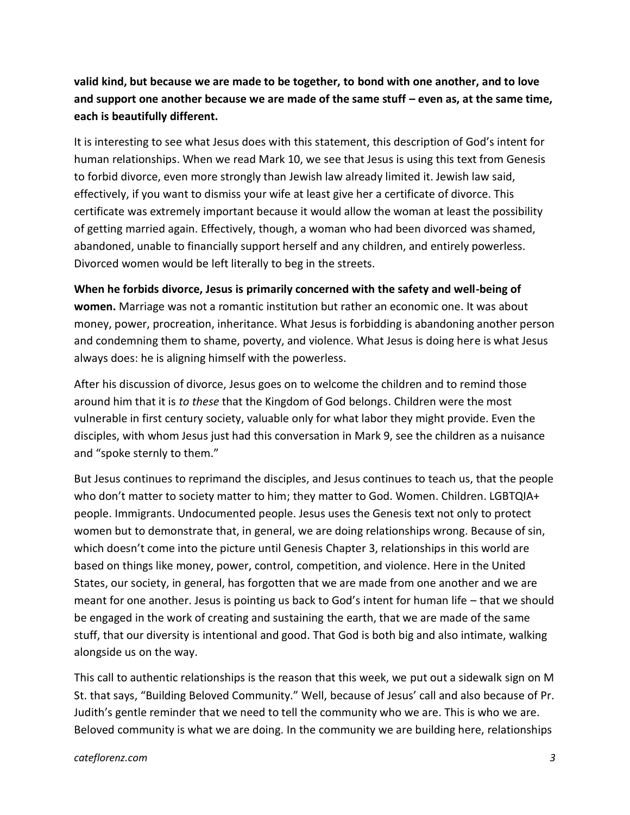**valid kind, but because we are made to be together, to bond with one another, and to love and support one another because we are made of the same stuff – even as, at the same time, each is beautifully different.**

It is interesting to see what Jesus does with this statement, this description of God's intent for human relationships. When we read Mark 10, we see that Jesus is using this text from Genesis to forbid divorce, even more strongly than Jewish law already limited it. Jewish law said, effectively, if you want to dismiss your wife at least give her a certificate of divorce. This certificate was extremely important because it would allow the woman at least the possibility of getting married again. Effectively, though, a woman who had been divorced was shamed, abandoned, unable to financially support herself and any children, and entirely powerless. Divorced women would be left literally to beg in the streets.

**When he forbids divorce, Jesus is primarily concerned with the safety and well-being of women.** Marriage was not a romantic institution but rather an economic one. It was about money, power, procreation, inheritance. What Jesus is forbidding is abandoning another person and condemning them to shame, poverty, and violence. What Jesus is doing here is what Jesus always does: he is aligning himself with the powerless.

After his discussion of divorce, Jesus goes on to welcome the children and to remind those around him that it is *to these* that the Kingdom of God belongs. Children were the most vulnerable in first century society, valuable only for what labor they might provide. Even the disciples, with whom Jesus just had this conversation in Mark 9, see the children as a nuisance and "spoke sternly to them."

But Jesus continues to reprimand the disciples, and Jesus continues to teach us, that the people who don't matter to society matter to him; they matter to God. Women. Children. LGBTQIA+ people. Immigrants. Undocumented people. Jesus uses the Genesis text not only to protect women but to demonstrate that, in general, we are doing relationships wrong. Because of sin, which doesn't come into the picture until Genesis Chapter 3, relationships in this world are based on things like money, power, control, competition, and violence. Here in the United States, our society, in general, has forgotten that we are made from one another and we are meant for one another. Jesus is pointing us back to God's intent for human life – that we should be engaged in the work of creating and sustaining the earth, that we are made of the same stuff, that our diversity is intentional and good. That God is both big and also intimate, walking alongside us on the way.

This call to authentic relationships is the reason that this week, we put out a sidewalk sign on M St. that says, "Building Beloved Community." Well, because of Jesus' call and also because of Pr. Judith's gentle reminder that we need to tell the community who we are. This is who we are. Beloved community is what we are doing. In the community we are building here, relationships